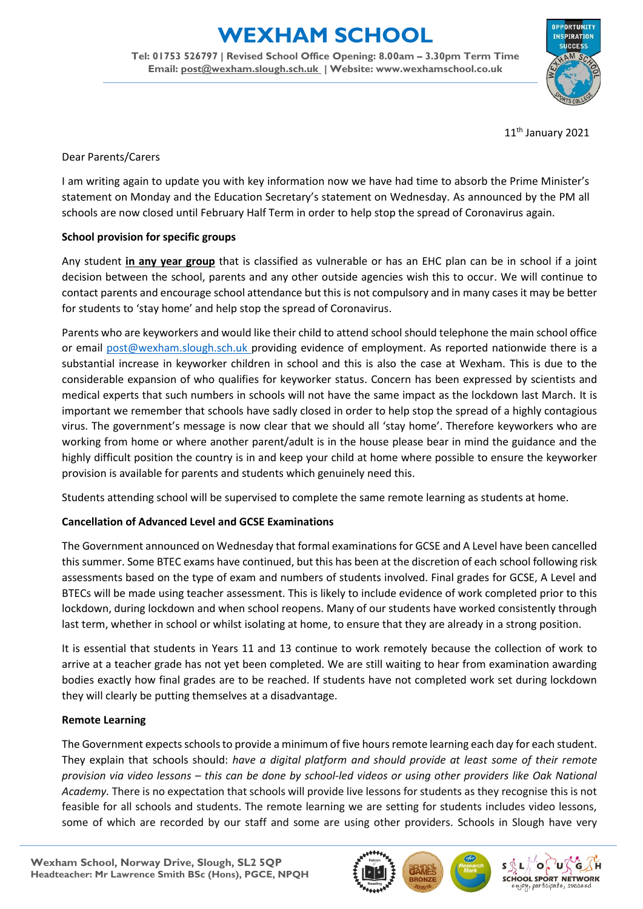# **EXHAM SCHOOL**

**Tel: 01753 526797 | Revised School Office Opening: 8.00am – 3.30pm Term Time Email: [post@wexham.slough.sch.uk](mailto:post@wexham.slough.sch.uk) | Website: www.wexhamschool.co.uk**



11<sup>th</sup> January 2021

Dear Parents/Carers

I am writing again to update you with key information now we have had time to absorb the Prime Minister's statement on Monday and the Education Secretary's statement on Wednesday. As announced by the PM all schools are now closed until February Half Term in order to help stop the spread of Coronavirus again.

# **School provision for specific groups**

Any student **in any year group** that is classified as vulnerable or has an EHC plan can be in school if a joint decision between the school, parents and any other outside agencies wish this to occur. We will continue to contact parents and encourage school attendance but this is not compulsory and in many cases it may be better for students to 'stay home' and help stop the spread of Coronavirus.

Parents who are keyworkers and would like their child to attend school should telephone the main school office or email [post@wexham.slough.sch.uk](mailto:post@wexham.slough.sch.uk) providing evidence of employment. As reported nationwide there is a substantial increase in keyworker children in school and this is also the case at Wexham. This is due to the considerable expansion of who qualifies for keyworker status. Concern has been expressed by scientists and medical experts that such numbers in schools will not have the same impact as the lockdown last March. It is important we remember that schools have sadly closed in order to help stop the spread of a highly contagious virus. The government's message is now clear that we should all 'stay home'. Therefore keyworkers who are working from home or where another parent/adult is in the house please bear in mind the guidance and the highly difficult position the country is in and keep your child at home where possible to ensure the keyworker provision is available for parents and students which genuinely need this.

Students attending school will be supervised to complete the same remote learning as students at home.

## **Cancellation of Advanced Level and GCSE Examinations**

The Government announced on Wednesday that formal examinations for GCSE and A Level have been cancelled this summer. Some BTEC exams have continued, but this has been at the discretion of each school following risk assessments based on the type of exam and numbers of students involved. Final grades for GCSE, A Level and BTECs will be made using teacher assessment. This is likely to include evidence of work completed prior to this lockdown, during lockdown and when school reopens. Many of our students have worked consistently through last term, whether in school or whilst isolating at home, to ensure that they are already in a strong position.

It is essential that students in Years 11 and 13 continue to work remotely because the collection of work to arrive at a teacher grade has not yet been completed. We are still waiting to hear from examination awarding bodies exactly how final grades are to be reached. If students have not completed work set during lockdown they will clearly be putting themselves at a disadvantage.

## **Remote Learning**

The Government expects schools to provide a minimum of five hours remote learning each day for each student. They explain that schools should: *have a digital platform and should provide at least some of their remote provision via video lessons – this can be done by school-led videos or using other providers like Oak National Academy.* There is no expectation that schools will provide live lessons for students as they recognise this is not feasible for all schools and students. The remote learning we are setting for students includes video lessons, some of which are recorded by our staff and some are using other providers. Schools in Slough have very